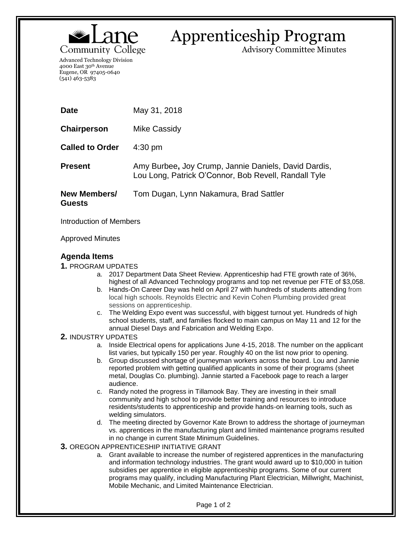

# Apprenticeship Program

Advisory Committee Minutes

Advanced Technology Division 4000 East 30th Avenue Eugene, OR 97405-0640 (541) 463-5383

| <b>Date</b>                   | May 31, 2018                                                                                                 |
|-------------------------------|--------------------------------------------------------------------------------------------------------------|
| Chairperson                   | Mike Cassidy                                                                                                 |
| <b>Called to Order</b>        | $4:30 \text{ pm}$                                                                                            |
| <b>Present</b>                | Amy Burbee, Joy Crump, Jannie Daniels, David Dardis,<br>Lou Long, Patrick O'Connor, Bob Revell, Randall Tyle |
| New Members/<br><b>Guests</b> | Tom Dugan, Lynn Nakamura, Brad Sattler                                                                       |

Introduction of Members

Approved Minutes

# **Agenda Items**

**1.** PROGRAM UPDATES

- a. 2017 Department Data Sheet Review. Apprenticeship had FTE growth rate of 36%, highest of all Advanced Technology programs and top net revenue per FTE of \$3,058.
- b. Hands-On Career Day was held on April 27 with hundreds of students attending from local high schools. Reynolds Electric and Kevin Cohen Plumbing provided great sessions on apprenticeship.
- c. The Welding Expo event was successful, with biggest turnout yet. Hundreds of high school students, staff, and families flocked to main campus on May 11 and 12 for the annual Diesel Days and Fabrication and Welding Expo.

### **2.** INDUSTRY UPDATES

- a. Inside Electrical opens for applications June 4-15, 2018. The number on the applicant list varies, but typically 150 per year. Roughly 40 on the list now prior to opening.
- b. Group discussed shortage of journeyman workers across the board. Lou and Jannie reported problem with getting qualified applicants in some of their programs (sheet metal, Douglas Co. plumbing). Jannie started a Facebook page to reach a larger audience.
- c. Randy noted the progress in Tillamook Bay. They are investing in their small community and high school to provide better training and resources to introduce residents/students to apprenticeship and provide hands-on learning tools, such as welding simulators.
- d. The meeting directed by Governor Kate Brown to address the shortage of journeyman vs. apprentices in the manufacturing plant and limited maintenance programs resulted in no change in current State Minimum Guidelines.
- **3.** OREGON APPRENTICESHIP INITIATIVE GRANT
	- a. Grant available to increase the number of registered apprentices in the manufacturing and information technology industries. The grant would award up to \$10,000 in tuition subsidies per apprentice in eligible apprenticeship programs. Some of our current programs may qualify, including Manufacturing Plant Electrician, Millwright, Machinist, Mobile Mechanic, and Limited Maintenance Electrician.